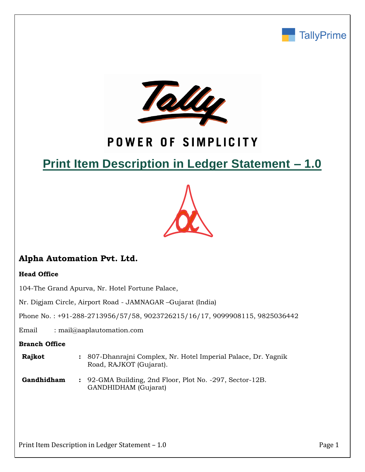



# POWER OF SIMPLICITY

# **Print Item Description in Ledger Statement – 1.0**



# **Alpha Automation Pvt. Ltd.**

## **Head Office**

104-The Grand Apurva, Nr. Hotel Fortune Palace,

Nr. Digjam Circle, Airport Road - JAMNAGAR –Gujarat (India)

Phone No. : +91-288-2713956/57/58, 9023726215/16/17, 9099908115, 9825036442

Email : mail@aaplautomation.com

### **Branch Office**

- **Rajkot :** 807-Dhanrajni Complex, Nr. Hotel Imperial Palace, Dr. Yagnik Road, RAJKOT (Gujarat).
- **Gandhidham :** 92-GMA Building, 2nd Floor, Plot No. -297, Sector-12B. GANDHIDHAM (Gujarat)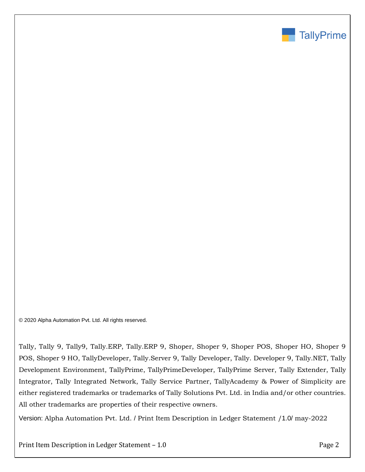

© 2020 Alpha Automation Pvt. Ltd. All rights reserved.

Tally, Tally 9, Tally9, Tally.ERP, Tally.ERP 9, Shoper, Shoper 9, Shoper POS, Shoper HO, Shoper 9 POS, Shoper 9 HO, TallyDeveloper, Tally.Server 9, Tally Developer, Tally. Developer 9, Tally.NET, Tally Development Environment, TallyPrime, TallyPrimeDeveloper, TallyPrime Server, Tally Extender, Tally Integrator, Tally Integrated Network, Tally Service Partner, TallyAcademy & Power of Simplicity are either registered trademarks or trademarks of Tally Solutions Pvt. Ltd. in India and/or other countries. All other trademarks are properties of their respective owners.

Version: Alpha Automation Pvt. Ltd. / Print Item Description in Ledger Statement /1.0/ may-2022

Print Item Description in Ledger Statement – 1.0 Prince 2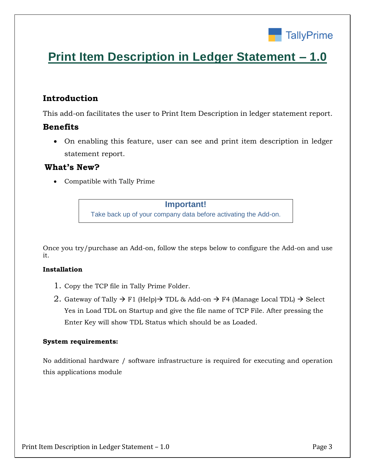

# **Print Item Description in Ledger Statement – 1.0**

# **Introduction**

This add-on facilitates the user to Print Item Description in ledger statement report.

## **Benefits**

 On enabling this feature, user can see and print item description in ledger statement report.

## **What's New?**

Compatible with Tally Prime

**Important!** Take back up of your company data before activating the Add-on.

Once you try/purchase an Add-on, follow the steps below to configure the Add-on and use it.

### **Installation**

- 1. Copy the TCP file in Tally Prime Folder.
- 2. Gateway of Tally  $\rightarrow$  F1 (Help)  $\rightarrow$  TDL & Add-on  $\rightarrow$  F4 (Manage Local TDL)  $\rightarrow$  Select Yes in Load TDL on Startup and give the file name of TCP File. After pressing the Enter Key will show TDL Status which should be as Loaded.

## **System requirements:**

No additional hardware / software infrastructure is required for executing and operation this applications module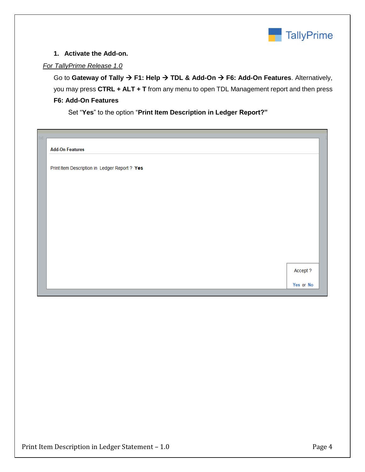

### **1. Activate the Add-on.**

### *For TallyPrime Release 1.0*

Go to Gateway of Tally  $\rightarrow$  F1: Help  $\rightarrow$  TDL & Add-On  $\rightarrow$  F6: Add-On Features. Alternatively, you may press **CTRL + ALT + T** from any menu to open TDL Management report and then press **F6: Add-On Features**

Set "**Yes**" to the option "**Print Item Description in Ledger Report?"**

| txt |                                               |           |
|-----|-----------------------------------------------|-----------|
|     | <b>Add-On Features</b>                        |           |
|     |                                               |           |
|     | Print Item Description in Ledger Report ? Yes |           |
|     |                                               |           |
|     |                                               |           |
|     |                                               |           |
|     |                                               |           |
|     |                                               |           |
|     |                                               |           |
|     |                                               |           |
|     |                                               |           |
|     |                                               |           |
|     |                                               | Accept ?  |
|     |                                               | Yes or No |
|     |                                               |           |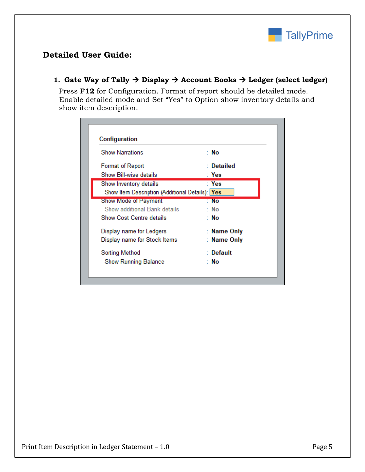

# **Detailed User Guide:**

## 1. Gate Way of Tally  $\rightarrow$  Display  $\rightarrow$  Account Books  $\rightarrow$  Ledger (select ledger)

Press **F12** for Configuration. Format of report should be detailed mode. Enable detailed mode and Set "Yes" to Option show inventory details and show item description.

| Configuration                                   |             |  |  |
|-------------------------------------------------|-------------|--|--|
| <b>Show Narrations</b>                          | : No        |  |  |
| Format of Report                                | : Detailed  |  |  |
| Show Bill-wise details                          | : Yes       |  |  |
| Show Inventory details                          | : Yes       |  |  |
| Show Item Description (Additional Details): Yes |             |  |  |
| Show Mode of Payment                            | : No        |  |  |
| Show additional Bank details                    | ∵ No        |  |  |
| Show Cost Centre details                        | : No        |  |  |
| Display name for Ledgers                        | : Name Only |  |  |
| Display name for Stock Items                    | : Name Only |  |  |
| : Default<br><b>Sorting Method</b>              |             |  |  |
| <b>Show Running Balance</b>                     | : No        |  |  |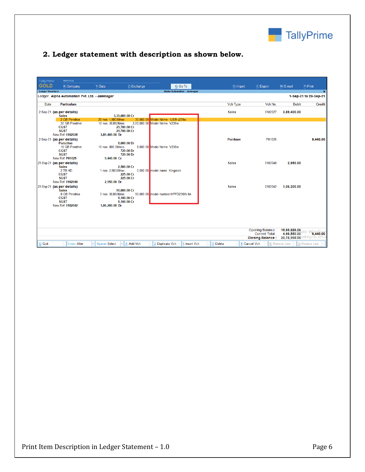

# **2. Ledger statement with description as shown below.**

| TallyPrime                                                                                                          |                                                                                                        | <b>MANAGE</b>       |                                        |                                            |                                      |                                    |                 |               |                |                            |  |
|---------------------------------------------------------------------------------------------------------------------|--------------------------------------------------------------------------------------------------------|---------------------|----------------------------------------|--------------------------------------------|--------------------------------------|------------------------------------|-----------------|---------------|----------------|----------------------------|--|
| <b>GOLD</b>                                                                                                         |                                                                                                        | K: Company          | Y: Data                                | Z: Exchange                                |                                      | G: Go To                           | O: Import       | E: Export     | M: E-mail      | P: Print                   |  |
| <b>Ledger Vouchers</b>                                                                                              |                                                                                                        |                     |                                        |                                            |                                      | <b>Alpha Automation - Jamnagar</b> |                 |               |                | $\mathbf{x}$               |  |
| Ledger: Alpha Automation Pvt. Ltd. - Jamnagar<br>1-Sep-21 to 23-Sep-21                                              |                                                                                                        |                     |                                        |                                            |                                      |                                    |                 |               |                |                            |  |
| Date                                                                                                                |                                                                                                        | <b>Particulars</b>  |                                        |                                            |                                      |                                    | <b>Vch Type</b> | Vch No.       | <b>Debit</b>   | Credit                     |  |
|                                                                                                                     | 2-Sep-21 (as per details)<br><b>Sales</b>                                                              |                     |                                        | 3,30,000.00 Cr                             |                                      |                                    | <b>Sales</b>    | 0102027       | 3,89,400.00    |                            |  |
|                                                                                                                     |                                                                                                        | 2 GB Pendrive       | 20 nos 1.500.00/nos                    |                                            | 30.000.00 Model Name - USB v220w     |                                    |                 |               |                |                            |  |
|                                                                                                                     | <b>CGST</b><br><b>SGST</b><br>New Ref 0102028                                                          | 32 GB Pendrive      | 10 nos 30,000.00/nos<br>3,89,400.00 Dr | 29,700.00 Cr<br>29,700.00 Cr               | 3,00,000.00 Model Name. V236w        |                                    |                 |               |                |                            |  |
|                                                                                                                     | 2-Sep-21 (as per details)<br><b>Purachse</b><br><b>CGST</b><br><b>SGST</b><br>New Ref P01025           | 16 GB Pendrive      | 10 nos 800.00/nos<br>9.440.00 Cr       | 8,000.00 Dr<br>720.00 Dr<br>720.00 Dr      | 8.000.00 Model Name, V236w           |                                    | <b>Purchase</b> | P01025        |                | 9,440.00                   |  |
|                                                                                                                     | 23-Sep-21 (as per details)<br><b>Sales</b><br>2 TB HD<br><b>CGST</b><br><b>SGST</b><br>New Ref 0102040 |                     | 1 nos 2.500.00/nos<br>2,950.00 Dr      | 2.500.00 Cr<br>225.00 Cr<br>225.00 Cr      | 2,500.00 model name: Kingston        |                                    | <b>Sales</b>    | 0102040       | 2.950.00       |                            |  |
|                                                                                                                     | 23-Sep-21 (as per details)<br><b>Sales</b><br><b>CGST</b><br><b>SGST</b><br>New Ref 0102042            | 8 GB Pendrive       | 3 nos 30,000,00/nos<br>1,06,200.00 Dr  | 90,000.00 Cr<br>8,100.00 Cr<br>8,100.00 Cr | 90.000.00 model number: HPFD236W-64. |                                    | <b>Sales</b>    | 0102042       | 1,06,200.00    |                            |  |
| Opening Balance:<br>15,89,888.06<br>4,98,550.00<br><b>Current Total:</b><br>20,78,998.06<br><b>Closing Balance:</b> |                                                                                                        |                     |                                        |                                            |                                      |                                    |                 |               |                | 9,440.00<br>tings to activ |  |
| $\mathbf{Q}$ : Quit                                                                                                 |                                                                                                        | <b>Enter: Alter</b> | <b>A</b> Space: Select                 | A: Add Vch                                 | 2: Duplicate Vch                     | <b>I: Insert Vch</b>               | D: Delete       | X: Cancel Vch | R: Remove Line | U: Restore Line            |  |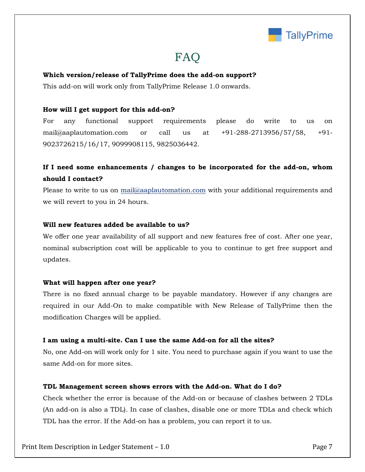

# FAQ

#### **Which version/release of TallyPrime does the add-on support?**

This add-on will work only from TallyPrime Release 1.0 onwards.

#### **How will I get support for this add-on?**

For any functional support requirements please do write to us on mail@aaplautomation.com or call us at +91-288-2713956/57/58, +91- 9023726215/16/17, 9099908115, 9825036442.

## **If I need some enhancements / changes to be incorporated for the add-on, whom should I contact?**

Please to write to us on mail@aaplautomation.com with your additional requirements and we will revert to you in 24 hours.

#### **Will new features added be available to us?**

We offer one year availability of all support and new features free of cost. After one year, nominal subscription cost will be applicable to you to continue to get free support and updates.

#### **What will happen after one year?**

There is no fixed annual charge to be payable mandatory. However if any changes are required in our Add-On to make compatible with New Release of TallyPrime then the modification Charges will be applied.

#### **I am using a multi-site. Can I use the same Add-on for all the sites?**

No, one Add-on will work only for 1 site. You need to purchase again if you want to use the same Add-on for more sites.

#### **TDL Management screen shows errors with the Add-on. What do I do?**

Check whether the error is because of the Add-on or because of clashes between 2 TDLs (An add-on is also a TDL). In case of clashes, disable one or more TDLs and check which TDL has the error. If the Add-on has a problem, you can report it to us.